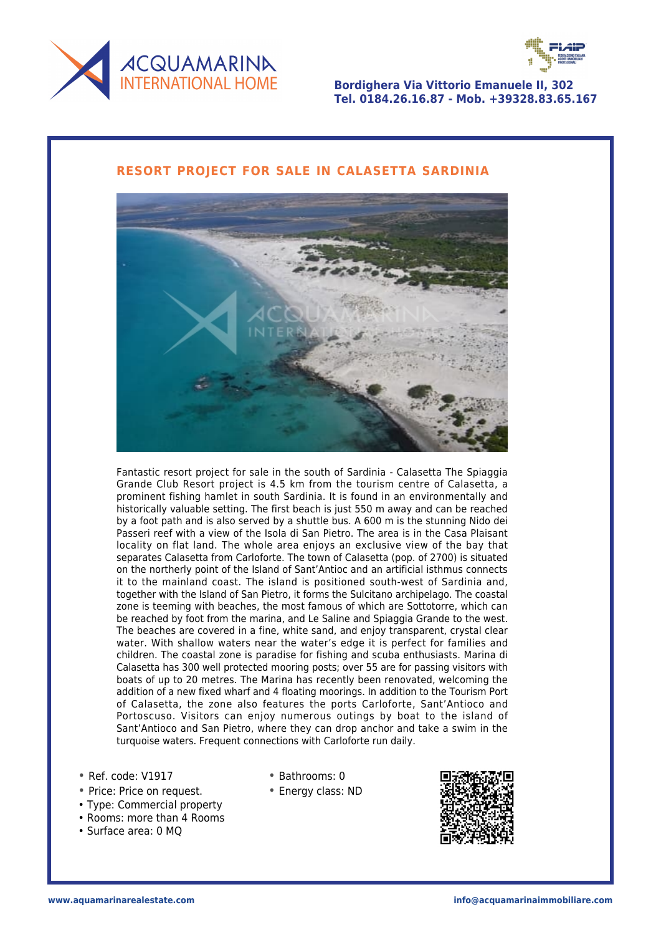



**Bordighera Via Vittorio Emanuele II, 302 Tel. 0184.26.16.87 - Mob. +39328.83.65.167**

## **RESORT PROJECT FOR SALE IN CALASETTA SARDINIA**



Fantastic resort project for sale in the south of Sardinia - Calasetta The Spiaggia Grande Club Resort project is 4.5 km from the tourism centre of Calasetta, a prominent fishing hamlet in south Sardinia. It is found in an environmentally and historically valuable setting. The first beach is just 550 m away and can be reached by a foot path and is also served by a shuttle bus. A 600 m is the stunning Nido dei Passeri reef with a view of the Isola di San Pietro. The area is in the Casa Plaisant locality on flat land. The whole area enjoys an exclusive view of the bay that separates Calasetta from Carloforte. The town of Calasetta (pop. of 2700) is situated on the northerly point of the Island of Sant'Antioc and an artificial isthmus connects it to the mainland coast. The island is positioned south-west of Sardinia and, together with the Island of San Pietro, it forms the Sulcitano archipelago. The coastal zone is teeming with beaches, the most famous of which are Sottotorre, which can be reached by foot from the marina, and Le Saline and Spiaggia Grande to the west. The beaches are covered in a fine, white sand, and enjoy transparent, crystal clear water. With shallow waters near the water's edge it is perfect for families and children. The coastal zone is paradise for fishing and scuba enthusiasts. Marina di Calasetta has 300 well protected mooring posts; over 55 are for passing visitors with boats of up to 20 metres. The Marina has recently been renovated, welcoming the addition of a new fixed wharf and 4 floating moorings. In addition to the Tourism Port of Calasetta, the zone also features the ports Carloforte, Sant'Antioco and Portoscuso. Visitors can enjoy numerous outings by boat to the island of Sant'Antioco and San Pietro, where they can drop anchor and take a swim in the turquoise waters. Frequent connections with Carloforte run daily.

- Ref. code: V1917
- Price: Price on request.
- Type: Commercial property
- Rooms: more than 4 Rooms
- Surface area: 0 MQ
- Bathrooms: 0
- Energy class: ND